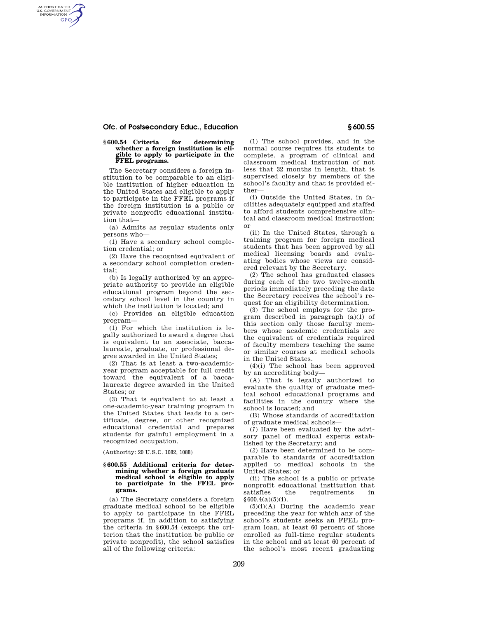## **Ofc. of Postsecondary Educ., Education § 600.55**

AUTHENTICATED<br>U.S. GOVERNMENT<br>INFORMATION **GPO** 

### **§ 600.54 Criteria for determining whether a foreign institution is eligible to apply to participate in the FFEL programs.**

The Secretary considers a foreign institution to be comparable to an eligible institution of higher education in the United States and eligible to apply to participate in the FFEL programs if the foreign institution is a public or private nonprofit educational institution that—

(a) Admits as regular students only persons who—

(1) Have a secondary school completion credential; or

(2) Have the recognized equivalent of a secondary school completion credential;

(b) Is legally authorized by an appropriate authority to provide an eligible educational program beyond the secondary school level in the country in which the institution is located; and

(c) Provides an eligible education program—

(1) For which the institution is legally authorized to award a degree that is equivalent to an associate, baccalaureate, graduate, or professional degree awarded in the United States;

(2) That is at least a two-academicyear program acceptable for full credit toward the equivalent of a baccalaureate degree awarded in the United States; or

(3) That is equivalent to at least a one-academic-year training program in the United States that leads to a certificate, degree, or other recognized educational credential and prepares students for gainful employment in a recognized occupation.

(Authority: 20 U.S.C. 1082, 1088)

### **§ 600.55 Additional criteria for determining whether a foreign graduate medical school is eligible to apply to participate in the FFEL programs.**

(a) The Secretary considers a foreign graduate medical school to be eligible to apply to participate in the FFEL programs if, in addition to satisfying the criteria in §600.54 (except the criterion that the institution be public or private nonprofit), the school satisfies all of the following criteria:

(1) The school provides, and in the normal course requires its students to complete, a program of clinical and classroom medical instruction of not less that 32 months in length, that is supervised closely by members of the school's faculty and that is provided either—

(i) Outside the United States, in facilities adequately equipped and staffed to afford students comprehensive clinical and classroom medical instruction; or

(ii) In the United States, through a training program for foreign medical students that has been approved by all medical licensing boards and evaluating bodies whose views are considered relevant by the Secretary.

(2) The school has graduated classes during each of the two twelve-month periods immediately preceding the date the Secretary receives the school's request for an eligibility determination.

(3) The school employs for the program described in paragraph  $(a)(1)$  of this section only those faculty members whose academic credentials are the equivalent of credentials required of faculty members teaching the same or similar courses at medical schools in the United States.

(4)(i) The school has been approved by an accrediting body—

(A) That is legally authorized to evaluate the quality of graduate medical school educational programs and facilities in the country where the school is located; and

(B) Whose standards of accreditation of graduate medical schools—

(*1*) Have been evaluated by the advisory panel of medical experts established by the Secretary; and

(*2*) Have been determined to be comparable to standards of accreditation applied to medical schools in the United States; or

(ii) The school is a public or private nonprofit educational institution that<br>satisfies the requirements in requirements in §600.4(a)(5)(i).

(5)(i)(A) During the academic year preceding the year for which any of the school's students seeks an FFEL program loan, at least 60 percent of those enrolled as full-time regular students in the school and at least 60 percent of the school's most recent graduating